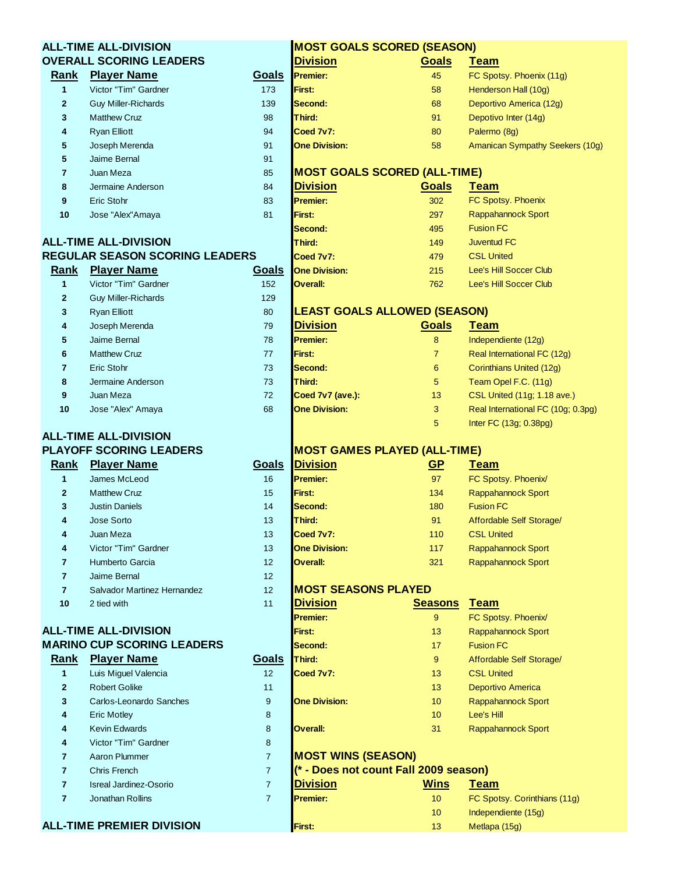|                         | <b>ALL-TIME ALL-DIVISION</b>          |                | <b>MOST GOALS SCORED (SEASON)</b>     |                 |                                    |
|-------------------------|---------------------------------------|----------------|---------------------------------------|-----------------|------------------------------------|
|                         | <b>OVERALL SCORING LEADERS</b>        |                | <b>Division</b>                       | <b>Goals</b>    | <b>Team</b>                        |
| Rank                    | <b>Player Name</b>                    | <b>Goals</b>   | <b>Premier:</b>                       | 45              | FC Spotsy. Phoenix (11g)           |
| $\mathbf{1}$            | Victor "Tim" Gardner                  | 173            | <b>First:</b>                         | 58              | Henderson Hall (10g)               |
| $\mathbf{2}$            | <b>Guy Miller-Richards</b>            | 139            | Second:                               | 68              | Deportivo America (12g)            |
| 3                       | <b>Matthew Cruz</b>                   | 98             | Third:                                | 91              | Depotivo Inter (14g)               |
| 4                       | <b>Ryan Elliott</b>                   | 94             | Coed 7v7:                             | 80              | Palermo (8g)                       |
| 5                       | Joseph Merenda                        | 91             | <b>One Division:</b>                  | 58              | Amanican Sympathy Seekers (10g)    |
| 5                       | Jaime Bernal                          | 91             |                                       |                 |                                    |
| $\overline{\mathbf{r}}$ | Juan Meza                             | 85             | <b>MOST GOALS SCORED (ALL-TIME)</b>   |                 |                                    |
| 8                       | Jermaine Anderson                     | 84             | <b>Division</b>                       | <b>Goals</b>    | <b>Team</b>                        |
| 9                       | Eric Stohr                            | 83             | <b>Premier:</b>                       | 302             | FC Spotsy. Phoenix                 |
| 10                      | Jose "Alex"Amaya                      | 81             | First:                                | 297             | Rappahannock Sport                 |
|                         |                                       |                | Second:                               | 495             | <b>Fusion FC</b>                   |
|                         | <b>ALL-TIME ALL-DIVISION</b>          |                | Third:                                | 149             | <b>Juventud FC</b>                 |
|                         | <b>REGULAR SEASON SCORING LEADERS</b> |                | Coed 7v7:                             | 479             | <b>CSL United</b>                  |
| Rank                    | <b>Player Name</b>                    | <b>Goals</b>   | <b>One Division:</b>                  | 215             | Lee's Hill Soccer Club             |
| $\mathbf{1}$            | Victor "Tim" Gardner                  | 152            | <b>Overall:</b>                       | 762             | Lee's Hill Soccer Club             |
| 2                       | <b>Guy Miller-Richards</b>            | 129            |                                       |                 |                                    |
| 3                       | <b>Ryan Elliott</b>                   | 80             | <b>LEAST GOALS ALLOWED (SEASON)</b>   |                 |                                    |
| 4                       | Joseph Merenda                        | 79             | <b>Division</b>                       | Goals           | <b>Team</b>                        |
| 5                       | Jaime Bernal                          | 78             | <b>Premier:</b>                       | 8               | Independiente (12g)                |
| 6                       | <b>Matthew Cruz</b>                   | 77             | First:                                | $\overline{7}$  | Real International FC (12g)        |
| $\overline{\mathbf{r}}$ | Eric Stohr                            | 73             | Second:                               | 6               | Corinthians United (12g)           |
| 8                       | Jermaine Anderson                     | 73             | Third:                                | 5               | Team Opel F.C. (11g)               |
| 9                       | Juan Meza                             | 72             | Coed 7v7 (ave.):                      | 13              | CSL United (11g; 1.18 ave.)        |
| 10                      | Jose "Alex" Amaya                     | 68             | <b>One Division:</b>                  | 3               | Real International FC (10g; 0.3pg) |
|                         |                                       |                |                                       | 5               | Inter FC (13g; 0.38pg)             |
|                         | <b>ALL-TIME ALL-DIVISION</b>          |                |                                       |                 |                                    |
|                         | <b>PLAYOFF SCORING LEADERS</b>        |                | <b>MOST GAMES PLAYED (ALL-TIME)</b>   |                 |                                    |
| Rank                    | <b>Player Name</b>                    | Goals          | <b>Division</b>                       | <u>GP</u>       | <b>Team</b>                        |
| $\mathbf{1}$            | James McLeod                          | 16             | <b>Premier:</b>                       | 97              | FC Spotsy. Phoenix/                |
| $\mathbf{2}$            | <b>Matthew Cruz</b>                   | 15             | First:                                | 134             | Rappahannock Sport                 |
| 3                       | <b>Justin Daniels</b>                 | 14             | Second:                               | 180             | <b>Fusion FC</b>                   |
| 4                       | Jose Sorto                            | 13             | Third:                                | 91              | Affordable Self Storage/           |
|                         | Juan Meza                             | 13             | Coed 7v7:                             | 110             | <b>CSL United</b>                  |
| 4                       | Victor "Tim" Gardner                  | 13             | <b>One Division:</b>                  | 117             | Rappahannock Sport                 |
| $\overline{7}$          | Humberto Garcia                       | 12             | <b>Overall:</b>                       | 321             | Rappahannock Sport                 |
| $\overline{\mathbf{r}}$ | Jaime Bernal                          | 12             |                                       |                 |                                    |
| $\overline{7}$          | Salvador Martinez Hernandez           | 12             | <b>MOST SEASONS PLAYED</b>            |                 |                                    |
| 10                      | 2 tied with                           | 11             | <b>Division</b>                       | <b>Seasons</b>  | <u>Team</u>                        |
|                         |                                       |                | <b>Premier:</b>                       | 9               | FC Spotsy. Phoenix/                |
|                         | <b>ALL-TIME ALL-DIVISION</b>          |                | First:                                | 13              | Rappahannock Sport                 |
|                         | <b>MARINO CUP SCORING LEADERS</b>     |                | Second:                               | 17              | <b>Fusion FC</b>                   |
| Rank                    | <b>Player Name</b>                    | Goals          | Third:                                | 9               | Affordable Self Storage/           |
| $\mathbf{1}$            | Luis Miguel Valencia                  | 12             | Coed 7v7:                             | 13              | <b>CSL United</b>                  |
| $\mathbf{2}$            | <b>Robert Golike</b>                  | 11             |                                       | 13              | Deportivo America                  |
| 3                       | Carlos-Leonardo Sanches               | $9\,$          | <b>One Division:</b>                  | 10              | Rappahannock Sport                 |
| 4                       | <b>Eric Motley</b>                    | 8              |                                       | 10              | Lee's Hill                         |
| 4                       | <b>Kevin Edwards</b>                  | 8              | Overall:                              | 31              | Rappahannock Sport                 |
| 4                       | Victor "Tim" Gardner                  | 8              |                                       |                 |                                    |
| $\overline{\mathbf{r}}$ | Aaron Plummer                         | $\overline{7}$ | <b>MOST WINS (SEASON)</b>             |                 |                                    |
| $\overline{\mathbf{r}}$ | <b>Chris French</b>                   | $\overline{7}$ | (* - Does not count Fall 2009 season) |                 |                                    |
| $\overline{\mathbf{r}}$ | <b>Isreal Jardinez-Osorio</b>         | $\overline{7}$ | <b>Division</b>                       | <b>Wins</b>     | <u>Team</u>                        |
| $\overline{7}$          | Jonathan Rollins                      | $\overline{7}$ | <b>Premier:</b>                       | 10 <sup>1</sup> |                                    |
|                         |                                       |                |                                       |                 | FC Spotsy. Corinthians (11g)       |
|                         | <b>ALL-TIME PREMIER DIVISION</b>      |                |                                       | 10              | Independiente (15g)                |
|                         |                                       |                | First:                                | 13              | Metlapa (15g)                      |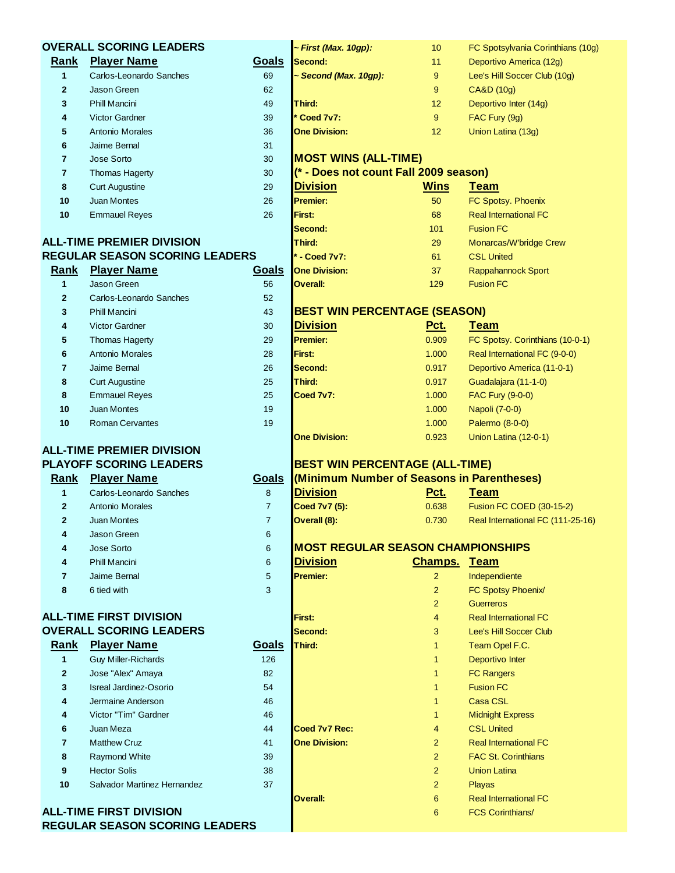|                | <b>OVERALL SCORING LEADERS</b>                                          |                 | ~ First (Max. 10gp):                       | 10                      | FC Spotsylvania Corinthians (10g) |
|----------------|-------------------------------------------------------------------------|-----------------|--------------------------------------------|-------------------------|-----------------------------------|
| Rank           | <b>Player Name</b>                                                      | Goals           | Second:                                    | 11                      | Deportivo America (12g)           |
| 1              | Carlos-Leonardo Sanches                                                 | 69              | - Second (Max. 10gp):                      | 9                       | Lee's Hill Soccer Club (10g)      |
| $\mathbf{2}$   | <b>Jason Green</b>                                                      | 62              |                                            | 9                       | CA&D (10g)                        |
| 3              | <b>Phill Mancini</b>                                                    | 49              | Third:                                     | 12                      | Deportivo Inter (14g)             |
| 4              | <b>Victor Gardner</b>                                                   | 39              | Coed 7v7:                                  | 9                       | FAC Fury (9g)                     |
| 5              | <b>Antonio Morales</b>                                                  | 36              | <b>One Division:</b>                       | 12                      | Union Latina (13g)                |
| 6              | Jaime Bernal                                                            | 31              |                                            |                         |                                   |
| $\overline{7}$ | Jose Sorto                                                              | 30              | <b>MOST WINS (ALL-TIME)</b>                |                         |                                   |
| $\overline{7}$ | <b>Thomas Hagerty</b>                                                   | 30              | (* - Does not count Fall 2009 season)      |                         |                                   |
| 8              | <b>Curt Augustine</b>                                                   | 29              | <b>Division</b>                            | <b>Wins</b>             | <b>Team</b>                       |
| 10             | <b>Juan Montes</b>                                                      | 26              | <b>Premier:</b>                            | 50                      | FC Spotsy. Phoenix                |
| 10             | <b>Emmauel Reyes</b>                                                    | 26              | First:                                     | 68                      | <b>Real International FC</b>      |
|                |                                                                         |                 | Second:                                    | 101                     | <b>Fusion FC</b>                  |
|                | <b>ALL-TIME PREMIER DIVISION</b>                                        |                 | Third:                                     | 29                      | Monarcas/W'bridge Crew            |
|                | <b>REGULAR SEASON SCORING LEADERS</b>                                   |                 | * - Coed 7v7:                              | 61                      | <b>CSL United</b>                 |
| Rank           | <b>Player Name</b>                                                      | Goals           | <b>One Division:</b>                       | 37                      | Rappahannock Sport                |
| $\mathbf{1}$   | Jason Green                                                             | 56              | <b>Overall:</b>                            | 129                     | <b>Fusion FC</b>                  |
| $\mathbf{2}$   | Carlos-Leonardo Sanches                                                 | 52              |                                            |                         |                                   |
| 3              | <b>Phill Mancini</b>                                                    | 43              | <b>BEST WIN PERCENTAGE (SEASON)</b>        |                         |                                   |
| 4              | <b>Victor Gardner</b>                                                   | 30              | <b>Division</b>                            | Pct.                    | <b>Team</b>                       |
| 5              | <b>Thomas Hagerty</b>                                                   | 29              | <b>Premier:</b>                            | 0.909                   | FC Spotsy. Corinthians (10-0-1)   |
| 6              | <b>Antonio Morales</b>                                                  | 28              | First:                                     | 1.000                   | Real International FC (9-0-0)     |
| 7              | Jaime Bernal                                                            | 26              | Second:                                    | 0.917                   | Deportivo America (11-0-1)        |
| 8              | <b>Curt Augustine</b>                                                   | 25              | Third:                                     | 0.917                   | Guadalajara (11-1-0)              |
| 8              | <b>Emmauel Reyes</b>                                                    | 25              | Coed 7v7:                                  | 1.000                   | FAC Fury (9-0-0)                  |
| 10             | <b>Juan Montes</b>                                                      | 19              |                                            | 1.000                   | Napoli (7-0-0)                    |
| 10             | <b>Roman Cervantes</b>                                                  | 19              |                                            | 1.000                   | Palermo (8-0-0)                   |
|                |                                                                         |                 | <b>One Division:</b>                       | 0.923                   | Union Latina (12-0-1)             |
|                | <b>ALL-TIME PREMIER DIVISION</b>                                        |                 |                                            |                         |                                   |
|                | <b>PLAYOFF SCORING LEADERS</b>                                          |                 | <b>BEST WIN PERCENTAGE (ALL-TIME)</b>      |                         |                                   |
| Rank           | <b>Player Name</b>                                                      | <b>Goals</b>    | (Minimum Number of Seasons in Parentheses) |                         |                                   |
| 1              | Carlos-Leonardo Sanches                                                 | 8               | <b>Division</b>                            | <u>Pct.</u>             | <u>Team</u>                       |
| $\mathbf{2}$   | <b>Antonio Morales</b>                                                  | $\overline{7}$  | Coed 7v7 (5):                              | 0.638                   | Fusion FC COED (30-15-2)          |
| $\mathbf{2}$   | <b>Juan Montes</b>                                                      | $\overline{7}$  | Overall (8):                               | 0.730                   | Real International FC (111-25-16) |
| 4              | Jason Green                                                             | 6               |                                            |                         |                                   |
| 4              | Jose Sorto                                                              | $6\phantom{1}6$ | <b>MOST REGULAR SEASON CHAMPIONSHIPS</b>   |                         |                                   |
| 4              | <b>Phill Mancini</b>                                                    | 6               | <b>Division</b>                            | <b>Champs. Team</b>     |                                   |
| $\overline{7}$ | Jaime Bernal                                                            | 5               | <b>Premier:</b>                            | $\overline{2}$          | Independiente                     |
| 8              | 6 tied with                                                             | 3               |                                            | $\overline{2}$          | FC Spotsy Phoenix/                |
|                |                                                                         |                 |                                            | $\overline{2}$          | <b>Guerreros</b>                  |
|                | <b>ALL-TIME FIRST DIVISION</b>                                          |                 | First:                                     | $\overline{\mathbf{4}}$ | <b>Real International FC</b>      |
|                | <b>OVERALL SCORING LEADERS</b>                                          |                 | Second:                                    | 3                       | Lee's Hill Soccer Club            |
| Rank           | <b>Player Name</b>                                                      | <b>Goals</b>    | Third:                                     | 1                       | Team Opel F.C.                    |
| $\mathbf{1}$   | <b>Guy Miller-Richards</b>                                              | 126             |                                            | 1                       | Deportivo Inter                   |
| $\mathbf{2}$   | Jose "Alex" Amaya                                                       | 82              |                                            | 1                       | <b>FC Rangers</b>                 |
| 3              | <b>Isreal Jardinez-Osorio</b>                                           | 54              |                                            | 1                       | <b>Fusion FC</b>                  |
| 4              | Jermaine Anderson                                                       | 46              |                                            | $\mathbf{1}$            | <b>Casa CSL</b>                   |
| 4              | Victor "Tim" Gardner                                                    | 46              |                                            | 1                       | <b>Midnight Express</b>           |
| 6              | Juan Meza                                                               | 44              | Coed 7v7 Rec:                              | $\overline{4}$          | <b>CSL United</b>                 |
| 7              | <b>Matthew Cruz</b>                                                     | 41              | <b>One Division:</b>                       | $\overline{2}$          | <b>Real International FC</b>      |
| 8              | <b>Raymond White</b>                                                    | 39              |                                            | $\overline{2}$          | <b>FAC St. Corinthians</b>        |
| 9              | <b>Hector Solis</b>                                                     | 38              |                                            | $\overline{2}$          | <b>Union Latina</b>               |
| 10             | Salvador Martinez Hernandez                                             | 37              |                                            | $\overline{2}$          | <b>Playas</b>                     |
|                |                                                                         |                 | <b>Overall:</b>                            | 6                       | <b>Real International FC</b>      |
|                | <b>ALL-TIME FIRST DIVISION</b><br><b>REGULAR SEASON SCORING LEADERS</b> |                 |                                            | 6                       | <b>FCS Corinthians/</b>           |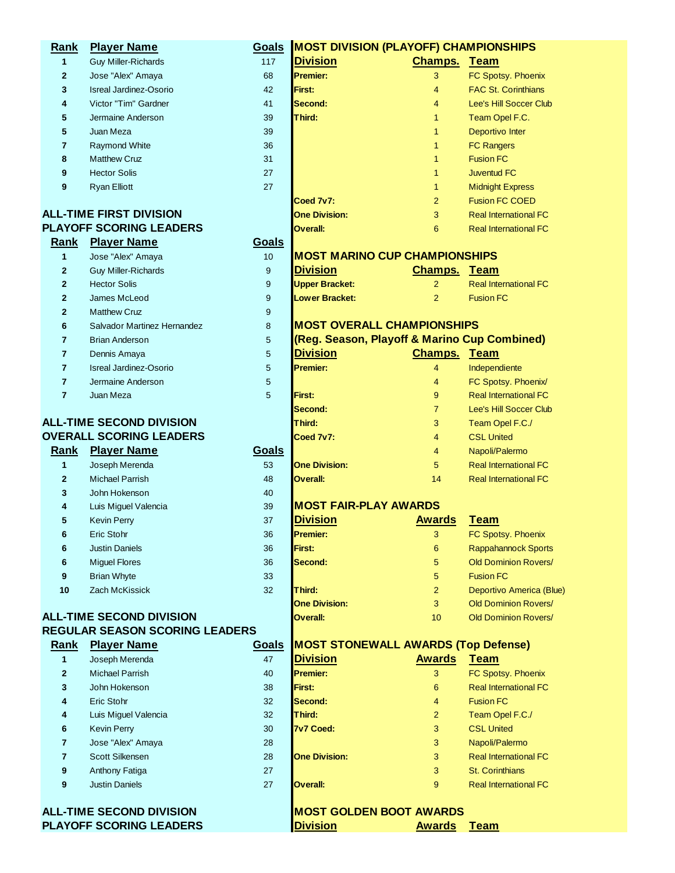| Rank           | <b>Player Name</b>                    | Goals        | <b>MOST DIVISION (PLAYOFF) CHAMPIONSHIPS</b> |                |                                                           |
|----------------|---------------------------------------|--------------|----------------------------------------------|----------------|-----------------------------------------------------------|
| 1              | <b>Guy Miller-Richards</b>            | 117          | <b>Division</b>                              | <b>Champs.</b> | <u>Team</u>                                               |
| $\mathbf{2}$   | Jose "Alex" Amaya                     | 68           | Premier:                                     | 3              | FC Spotsy. Phoenix                                        |
| 3              | <b>Isreal Jardinez-Osorio</b>         | 42           | First:                                       | 4              | <b>FAC St. Corinthians</b>                                |
| 4              | Victor "Tim" Gardner                  | 41           | Second:                                      | 4              | Lee's Hill Soccer Club                                    |
| 5              | Jermaine Anderson                     | 39           | Third:                                       | 1              | Team Opel F.C.                                            |
| 5              | Juan Meza                             | 39           |                                              | 1              | Deportivo Inter                                           |
| 7              | <b>Raymond White</b>                  | 36           |                                              | 1              | <b>FC Rangers</b>                                         |
| 8              | <b>Matthew Cruz</b>                   | 31           |                                              | 1              | <b>Fusion FC</b>                                          |
| 9              | <b>Hector Solis</b>                   | 27           |                                              | 1              | <b>Juventud FC</b>                                        |
| 9              | <b>Ryan Elliott</b>                   | 27           |                                              | 1              | <b>Midnight Express</b>                                   |
|                |                                       |              | Coed 7v7:                                    | $\overline{c}$ | <b>Fusion FC COED</b>                                     |
|                | <b>ALL-TIME FIRST DIVISION</b>        |              | <b>One Division:</b>                         | 3              | <b>Real International FC</b>                              |
|                | <b>PLAYOFF SCORING LEADERS</b>        |              | <b>Overall:</b>                              | 6              | <b>Real International FC</b>                              |
| <b>Rank</b>    | <b>Player Name</b>                    | Goals        |                                              |                |                                                           |
| 1              | Jose "Alex" Amaya                     | 10           | <b>MOST MARINO CUP CHAMPIONSHIPS</b>         |                |                                                           |
| $\mathbf{2}$   | <b>Guy Miller-Richards</b>            | 9            | <b>Division</b>                              | <b>Champs.</b> | <b>Team</b>                                               |
| $\overline{2}$ | <b>Hector Solis</b>                   | 9            | <b>Upper Bracket:</b>                        | $\overline{2}$ | <b>Real International FC</b>                              |
| $\mathbf{2}$   | James McLeod                          | 9            | <b>Lower Bracket:</b>                        | $\overline{2}$ | <b>Fusion FC</b>                                          |
| $\mathbf{2}$   | <b>Matthew Cruz</b>                   | 9            |                                              |                |                                                           |
| 6              | Salvador Martinez Hernandez           | 8            | <b>MOST OVERALL CHAMPIONSHIPS</b>            |                |                                                           |
| 7              | <b>Brian Anderson</b>                 | 5            | (Reg. Season, Playoff & Marino Cup Combined) |                |                                                           |
| 7              | Dennis Amaya                          | 5            | <b>Division</b>                              | <b>Champs.</b> | <b>Team</b>                                               |
| $\overline{7}$ | <b>Isreal Jardinez-Osorio</b>         | 5            | <b>Premier:</b>                              | $\overline{4}$ | Independiente                                             |
| 7              | Jermaine Anderson                     | 5            |                                              | 4              | FC Spotsy. Phoenix/                                       |
| $\overline{7}$ | Juan Meza                             | 5            | First:                                       | 9              | <b>Real International FC</b>                              |
|                |                                       |              | Second:                                      | $\overline{7}$ | Lee's Hill Soccer Club                                    |
|                | <b>ALL-TIME SECOND DIVISION</b>       |              | Third:                                       | 3              | Team Opel F.C./                                           |
|                | <b>OVERALL SCORING LEADERS</b>        |              | Coed 7v7:                                    | 4              | <b>CSL United</b>                                         |
| Rank           | <b>Player Name</b>                    | Goals        |                                              | 4              | Napoli/Palermo                                            |
| 1              | Joseph Merenda                        | 53           | <b>One Division:</b>                         | 5              | <b>Real International FC</b>                              |
| $\mathbf{2}$   | <b>Michael Parrish</b>                | 48           | Overall:                                     | 14             | <b>Real International FC</b>                              |
|                | John Hokenson                         |              |                                              |                |                                                           |
| 3              |                                       | 40<br>39     | <b>MOST FAIR-PLAY AWARDS</b>                 |                |                                                           |
| 4              | Luis Miguel Valencia                  | 37           | <b>Division</b>                              | <b>Awards</b>  | <b>Team</b>                                               |
| 5<br>6         | <b>Kevin Perry</b>                    |              | Premier:                                     |                | FC Spotsy. Phoenix                                        |
|                | Eric Stohr                            | 36           | First:                                       | 3              |                                                           |
| 6              | <b>Justin Daniels</b>                 | 36           |                                              | 6              | <b>Rappahannock Sports</b><br><b>Old Dominion Rovers/</b> |
| 6              | <b>Miguel Flores</b>                  | 36           | Second:                                      | 5              |                                                           |
| 9              | <b>Brian Whyte</b>                    | 33           |                                              | 5              | <b>Fusion FC</b>                                          |
| 10             | <b>Zach McKissick</b>                 | 32           | Third:                                       | $\overline{2}$ | Deportivo America (Blue)                                  |
|                | <b>ALL-TIME SECOND DIVISION</b>       |              | <b>One Division:</b>                         | 3              | <b>Old Dominion Rovers/</b>                               |
|                | <b>REGULAR SEASON SCORING LEADERS</b> |              | Overall:                                     | 10             | <b>Old Dominion Rovers/</b>                               |
|                | <b>Player Name</b>                    |              | <b>MOST STONEWALL AWARDS (Top Defense)</b>   |                |                                                           |
| <b>Rank</b>    |                                       | <b>Goals</b> |                                              |                |                                                           |
| 1              | Joseph Merenda                        | 47           | <b>Division</b>                              | <b>Awards</b>  | <b>Team</b>                                               |
| $\mathbf{2}$   | <b>Michael Parrish</b>                | 40           | <b>Premier:</b>                              | 3              | FC Spotsy. Phoenix                                        |
| 3              | John Hokenson                         | 38           | First:                                       | 6              | <b>Real International FC</b>                              |
| 4              | Eric Stohr                            | 32           | Second:                                      | 4              | <b>Fusion FC</b>                                          |
| 4              | Luis Miguel Valencia                  | 32           | Third:                                       | $\overline{2}$ | Team Opel F.C./                                           |
| 6              | <b>Kevin Perry</b>                    | 30           | <b>7v7 Coed:</b>                             | 3              | <b>CSL United</b>                                         |
| 7              | Jose "Alex" Amaya                     | 28           |                                              | 3              | Napoli/Palermo                                            |
| 7              | Scott Silkensen                       | 28           | <b>One Division:</b>                         | 3              | <b>Real International FC</b>                              |
| 9              | Anthony Fatiga                        | 27           |                                              | 3              | <b>St. Corinthians</b>                                    |
| 9              | <b>Justin Daniels</b>                 | 27           | Overall:                                     | 9              | <b>Real International FC</b>                              |
|                |                                       |              |                                              |                |                                                           |
|                | <b>ALL-TIME SECOND DIVISION</b>       |              | <b>MOST GOLDEN BOOT AWARDS</b>               |                |                                                           |
|                | <b>PLAYOFF SCORING LEADERS</b>        |              | <b>Division</b>                              | <b>Awards</b>  | <b>Team</b>                                               |
|                |                                       |              |                                              |                |                                                           |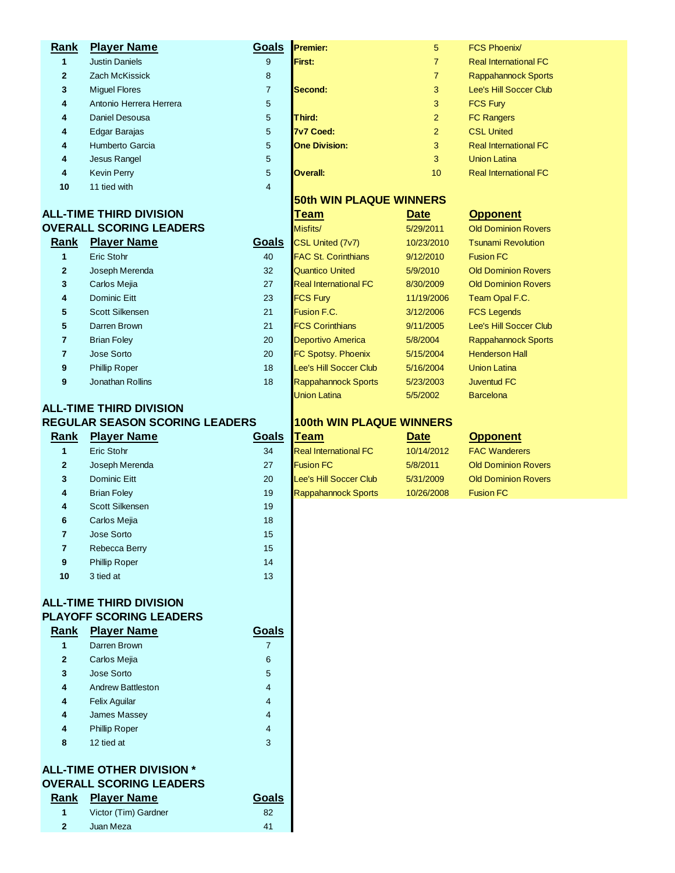| Rank           | <b>Player Name</b>             | Goals          | <b>Premier:</b>                | 5              | <b>FCS Phoenix/</b>           |
|----------------|--------------------------------|----------------|--------------------------------|----------------|-------------------------------|
| 1              | <b>Justin Daniels</b>          | 9              | First:                         | $\overline{7}$ | <b>Real International FC</b>  |
| $\overline{2}$ | <b>Zach McKissick</b>          | 8              |                                | $\overline{7}$ | <b>Rappahannock Sports</b>    |
| 3              | <b>Miquel Flores</b>           | $\overline{7}$ | Second:                        | 3              | <b>Lee's Hill Soccer Club</b> |
| 4              | Antonio Herrera Herrera        | 5              |                                | 3              | <b>FCS Fury</b>               |
| 4              | Daniel Desousa                 | 5              | Third:                         | 2              | <b>FC Rangers</b>             |
| 4              | Edgar Barajas                  | 5              | 7v7 Coed:                      | 2              | <b>CSL United</b>             |
| 4              | Humberto Garcia                | 5              | <b>One Division:</b>           | 3              | <b>Real International FC</b>  |
| 4              | Jesus Rangel                   | 5              |                                | 3              | <b>Union Latina</b>           |
| 4              | <b>Kevin Perry</b>             | 5              | <b>Overall:</b>                | 10             | <b>Real International FC</b>  |
| 10             | 11 tied with                   | $\overline{4}$ |                                |                |                               |
|                |                                |                | <b>50th WIN PLAQUE WINNERS</b> |                |                               |
|                | <b>ALL-TIME THIRD DIVISION</b> |                | <b>Team</b>                    | <b>Date</b>    | <b>Opponent</b>               |
|                | <b>OVERALL SCORING LEADERS</b> |                | Misfits/                       | 5/29/2011      | <b>Old Dominion Rovers</b>    |
| Rank           | <b>Player Name</b>             | <b>Goals</b>   | CSL United (7v7)               | 10/23/2010     | <b>Tsunami Revolution</b>     |
| 1              | Eric Stohr                     | 40             | <b>FAC St. Corinthians</b>     | 9/12/2010      | <b>Fusion FC</b>              |
|                |                                |                |                                |                |                               |

| $\overline{2}$ | Joseph Merenda       |  |
|----------------|----------------------|--|
| 3              | Carlos Mejia         |  |
| 4              | <b>Dominic Eitt</b>  |  |
| 5              | Scott Silkensen      |  |
| 5              | Darren Brown         |  |
| 7              | <b>Brian Foley</b>   |  |
| 7              | Jose Sorto           |  |
| 9              | <b>Phillip Roper</b> |  |
| g              | Jonathan Rollins     |  |

# **ALL-TIME THIRD DIVISION REGULAR SEASON SCORING LEADERS 100th WIN PLAQUE WINNERS**

| Rank           | <b>Player Name</b>   | Goals | <b>Team</b>                  | <b>Date</b> | <b>Opponent</b>     |
|----------------|----------------------|-------|------------------------------|-------------|---------------------|
| 1              | Eric Stohr           | 34    | <b>Real International FC</b> | 10/14/2012  | <b>FAC Wandere</b>  |
| $\mathbf{2}$   | Joseph Merenda       | 27    | <b>Fusion FC</b>             | 5/8/2011    | <b>Old Dominion</b> |
| 3              | <b>Dominic Eitt</b>  | 20    | Lee's Hill Soccer Club       | 5/31/2009   | <b>Old Dominion</b> |
| $\overline{4}$ | <b>Brian Foley</b>   | 19    | <b>Rappahannock Sports</b>   | 10/26/2008  | <b>Fusion FC</b>    |
| $\overline{4}$ | Scott Silkensen      | 19    |                              |             |                     |
| 6              | Carlos Mejia         | 18    |                              |             |                     |
| 7              | Jose Sorto           | 15    |                              |             |                     |
| $\overline{7}$ | Rebecca Berry        | 15    |                              |             |                     |
| 9              | <b>Phillip Roper</b> | 14    |                              |             |                     |
| 10             | 3 tied at            | 13    |                              |             |                     |
|                |                      |       |                              |             |                     |

#### **ALL-TIME THIRD DIVISION PLAYOFF SCORING LEADERS**

| Rank         | <b>Player Name</b>                                          | Goals |
|--------------|-------------------------------------------------------------|-------|
| 1            | Darren Brown                                                | 7     |
| $\mathbf{2}$ | Carlos Mejia                                                | 6     |
| 3            | Jose Sorto                                                  | 5     |
| 4            | <b>Andrew Battleston</b>                                    | 4     |
| 4            | <b>Felix Aquilar</b>                                        | 4     |
| 4            | <b>James Massey</b>                                         | 4     |
| 4            | <b>Phillip Roper</b>                                        | 4     |
| 8            | 12 tied at                                                  | 3     |
|              | ALL-TIME OTHER DIVISION *<br><b>OVERALL SCORING LEADERS</b> |       |
| Rank         | <b>Player Name</b>                                          |       |

Juan Meza 41

|                | - I INIL UTTILI\ DIVISION<br><b>ERALL SCORING LEADERS</b> |       |
|----------------|-----------------------------------------------------------|-------|
|                | ank Plaver Name                                           | Goals |
| 1 <sup>1</sup> | Victor (Tim) Gardner                                      | 82    |

| 10         | 11 tied with                 | $\overline{4}$ |                              |             |                            |
|------------|------------------------------|----------------|------------------------------|-------------|----------------------------|
|            |                              |                | 50th WIN PLAQUE WINNERS      |             |                            |
|            | -TIME THIRD DIVISION         |                | <b>Team</b>                  | <b>Date</b> | <b>Opponent</b>            |
|            | <b>ERALL SCORING LEADERS</b> |                | Misfits/                     | 5/29/2011   | <b>Old Dominion Rovers</b> |
| <u>ınk</u> | <b>Player Name</b>           | Goals          | CSL United (7v7)             | 10/23/2010  | <b>Tsunami Revolution</b>  |
| 1          | Eric Stohr                   | 40             | <b>FAC St. Corinthians</b>   | 9/12/2010   | <b>Fusion FC</b>           |
| 2          | Joseph Merenda               | 32             | <b>Quantico United</b>       | 5/9/2010    | <b>Old Dominion Rovers</b> |
| 3          | Carlos Mejia                 | 27             | <b>Real International FC</b> | 8/30/2009   | <b>Old Dominion Rovers</b> |
| 4          | Dominic Eitt                 | 23             | <b>FCS Fury</b>              | 11/19/2006  | Team Opal F.C.             |
| 5          | Scott Silkensen              | 21             | Fusion F.C.                  | 3/12/2006   | <b>FCS Legends</b>         |
| 5          | Darren Brown                 | 21             | <b>FCS Corinthians</b>       | 9/11/2005   | Lee's Hill Soccer Club     |
| 7          | <b>Brian Foley</b>           | 20             | <b>Deportivo America</b>     | 5/8/2004    | <b>Rappahannock Sports</b> |
| 7          | Jose Sorto                   | 20             | <b>FC Spotsy. Phoenix</b>    | 5/15/2004   | <b>Henderson Hall</b>      |
| 9          | <b>Phillip Roper</b>         | 18             | Lee's Hill Soccer Club       | 5/16/2004   | <b>Union Latina</b>        |
| 9          | Jonathan Rollins             | 18             | <b>Rappahannock Sports</b>   | 5/23/2003   | <b>Juventud FC</b>         |

Union Latina **5/5/2002** Barcelona

**Real International FC** 10/14/2012 FAC Wanderers Joseph Merenda 27 Fusion FC 5/8/2011 Old Dominion Rovers Lee's Hill Soccer Club 5/31/2009 Old Dominion Rovers Rappahannock Sports 10/26/2008 Fusion FC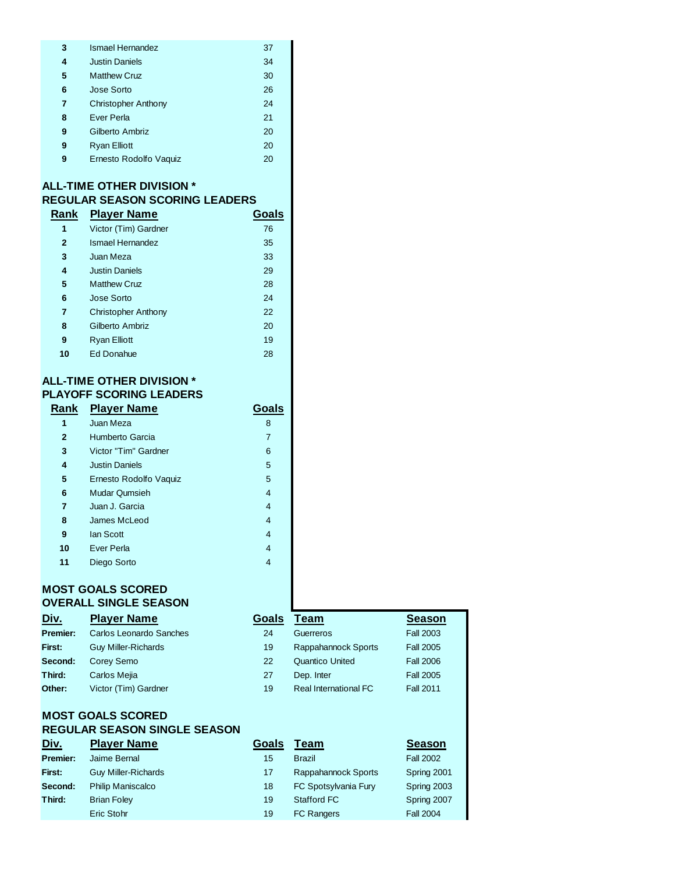| 3 | Ismael Hernandez           | 37 |
|---|----------------------------|----|
| 4 | <b>Justin Daniels</b>      | 34 |
| 5 | <b>Matthew Cruz</b>        | 30 |
| 6 | Jose Sorto                 | 26 |
| 7 | <b>Christopher Anthony</b> | 24 |
| 8 | Ever Perla                 | 21 |
| 9 | Gilberto Ambriz            | 20 |
| 9 | <b>Ryan Elliott</b>        | 20 |
| 9 | Ernesto Rodolfo Vaquiz     | 20 |

## **ALL-TIME OTHER DIVISION \* REGULAR SEASON SCORING LEADERS**

| Rank         | <b>Player Name</b>         | Goals |
|--------------|----------------------------|-------|
| 1            | Victor (Tim) Gardner       | 76    |
| $\mathbf{2}$ | Ismael Hernandez           | 35    |
| 3            | Juan Meza                  | 33    |
| 4            | <b>Justin Daniels</b>      | 29    |
| 5            | <b>Matthew Cruz</b>        | 28    |
| 6            | Jose Sorto                 | 24    |
| 7            | <b>Christopher Anthony</b> | 22    |
| 8            | Gilberto Ambriz            | 20    |
| 9            | <b>Ryan Elliott</b>        | 19    |
| 10           | Ed Donahue                 | 28    |
|              |                            |       |

## **ALL-TIME OTHER DIVISION \* PLAYOFF SCORING LEADERS**

| Rank         | <b>Player Name</b>     | Goals |  |
|--------------|------------------------|-------|--|
| 1            | Juan Meza              | 8     |  |
| $\mathbf{2}$ | Humberto Garcia        | 7     |  |
| 3            | Victor "Tim" Gardner   | 6     |  |
| 4            | <b>Justin Daniels</b>  | 5     |  |
| 5            | Ernesto Rodolfo Vaquiz | 5     |  |
| 6            | <b>Mudar Qumsieh</b>   | 4     |  |
| 7            | Juan J. Garcia         | 4     |  |
| 8            | James McLeod           | 4     |  |
| 9            | lan Scott              | 4     |  |
| 10           | Ever Perla             | 4     |  |
| 11           | Diego Sorto            | 4     |  |
|              |                        |       |  |

## **MOST GOALS SCORED OVERALL SINGLE SEASON**

| Div.     | <b>Player Name</b>         | Goals | Team                         | <b>Season</b>    |
|----------|----------------------------|-------|------------------------------|------------------|
| Premier: | Carlos Leonardo Sanches    | 24    | Guerreros                    | <b>Fall 2003</b> |
| First:   | <b>Guy Miller-Richards</b> | 19    | Rappahannock Sports          | <b>Fall 2005</b> |
| Second:  | Corey Semo                 | 22    | <b>Quantico United</b>       | <b>Fall 2006</b> |
| Third:   | Carlos Mejia               | 27    | Dep. Inter                   | <b>Fall 2005</b> |
| Other:   | Victor (Tim) Gardner       | 19    | <b>Real International FC</b> | <b>Fall 2011</b> |

## **MOST GOALS SCORED REGULAR SEASON SINGLE SEASON**

| <u>Div.</u> | <b>Player Name</b>         | Goals | Team                 | <b>Season</b>    |
|-------------|----------------------------|-------|----------------------|------------------|
| Premier:    | Jaime Bernal               | 15    | <b>Brazil</b>        | <b>Fall 2002</b> |
| First:      | <b>Guy Miller-Richards</b> | 17    | Rappahannock Sports  | Spring 2001      |
| Second:     | <b>Philip Maniscalco</b>   | 18    | FC Spotsylvania Fury | Spring 2003      |
| Third:      | <b>Brian Foley</b>         | 19    | Stafford FC          | Spring 2007      |
|             | Eric Stohr                 | 19    | <b>FC Rangers</b>    | <b>Fall 2004</b> |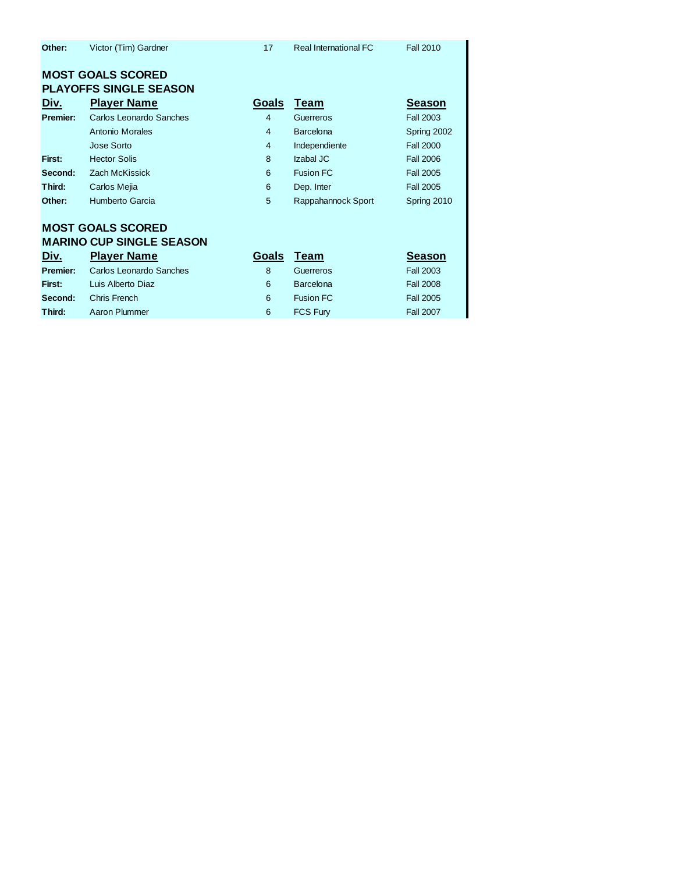| Other: | Victor (Tim) Gardner | Real International FC | <b>Fall 2010</b> |
|--------|----------------------|-----------------------|------------------|
|        |                      |                       |                  |

## **MOST GOALS SCORED PLAYOFFS SINGLE SEASON**

| Div.     | <b>Player Name</b>      | Goals          | Team               | <b>Season</b>    |
|----------|-------------------------|----------------|--------------------|------------------|
| Premier: | Carlos Leonardo Sanches | $\overline{4}$ | Guerreros          | <b>Fall 2003</b> |
|          | <b>Antonio Morales</b>  | $\overline{4}$ | <b>Barcelona</b>   | Spring 2002      |
|          | Jose Sorto              | 4              | Independiente      | <b>Fall 2000</b> |
| First:   | <b>Hector Solis</b>     | 8              | Izabal JC          | <b>Fall 2006</b> |
| Second:  | Zach McKissick          | 6              | <b>Fusion FC</b>   | <b>Fall 2005</b> |
| Third:   | Carlos Mejia            | 6              | Dep. Inter         | <b>Fall 2005</b> |
| Other:   | Humberto Garcia         | 5              | Rappahannock Sport | Spring 2010      |
|          |                         |                |                    |                  |

# **MOST GOALS SCORED MARINO CUP SINGLE SEASON**

| <u>Div.</u>     | <b>Player Name</b>      | Goals | <b>Team</b>      | <b>Season</b>    |
|-----------------|-------------------------|-------|------------------|------------------|
| <b>Premier:</b> | Carlos Leonardo Sanches |       | Guerreros        | <b>Fall 2003</b> |
| First:          | Luis Alberto Diaz       | 6     | Barcelona        | <b>Fall 2008</b> |
| Second:         | Chris French            | 6     | <b>Fusion FC</b> | <b>Fall 2005</b> |
| Third:          | Aaron Plummer           | 6     | <b>FCS Fury</b>  | <b>Fall 2007</b> |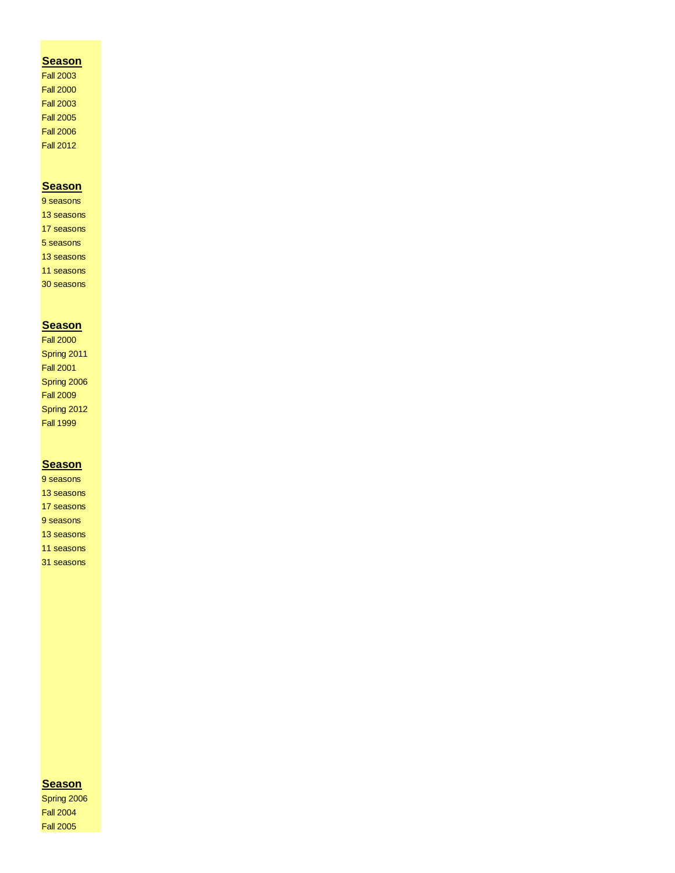### **Season**

Fall 2003 Fall 2000 Fall 2003 Fall 2005 Fall 2006 Fall 2012

### **Season**

9 seasons 13 seasons 17 seasons 5 seasons 13 seasons 11 seasons 30 seasons

### **Season**

Fall 2000 Spring 2011 Fall 2001 Spring 2006 Fall 2009 Spring 2012 Fall 1999

#### **Season**

9 seasons 13 seasons 17 seasons 9 seasons 13 seasons 11 seasons 31 seasons

### **Season**

Spring 2006 Fall 2004 Fall 2005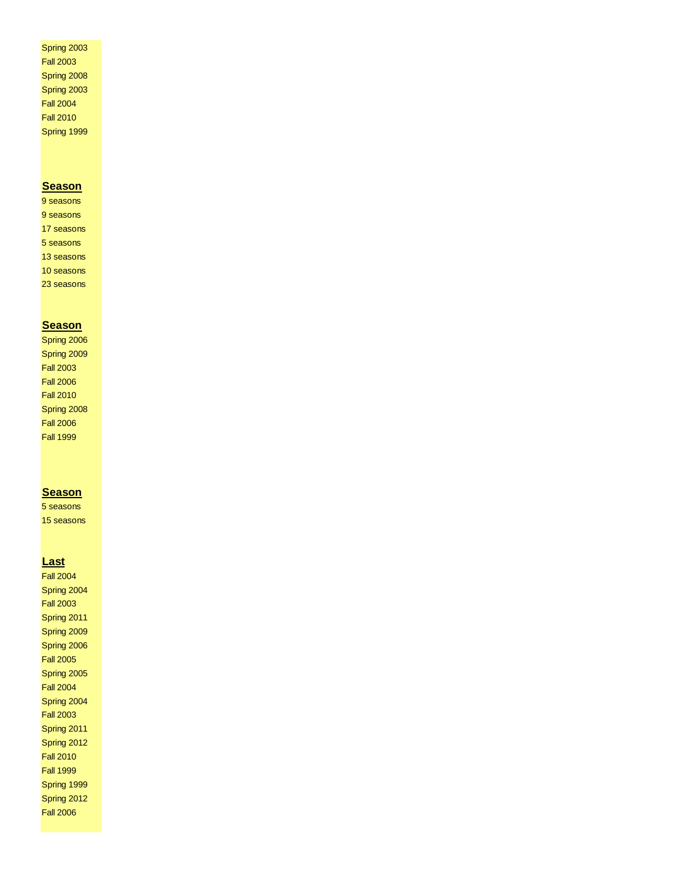Spring 2003 Fall 2003 Spring 2008 Spring 2003 Fall 2004 Fall 2010 Spring 1999

#### **Season**

9 seasons 9 seasons 17 seasons 5 seasons 13 seasons 10 seasons 23 seasons

#### **Season**

Spring 2006 Spring 2009 Fall 2003 Fall 2006 Fall 2010 Spring 2008 Fall 2006 Fall 1999

#### **Season**

5 seasons 15 seasons

#### **Last**

Fall 2004 Spring 2004 Fall 2003 Spring 2011 Spring 2009 Spring 2006 Fall 2005 Spring 2005 Fall 2004 Spring 2004 Fall 2003 Spring 2011 Spring 2012 Fall 2010 Fall 1999 Spring 1999 Spring 2012 Fall 2006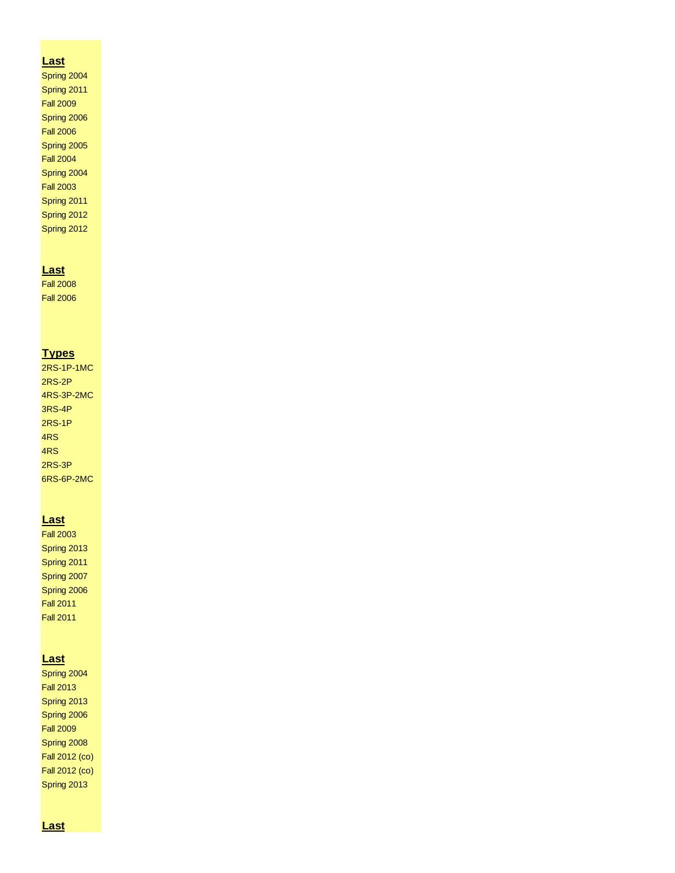#### **Last**

Spring 2004 Spring 2011 Fall 2009 Spring 2006 Fall 2006 Spring 2005 Fall 2004 Spring 2004 Fall 2003 Spring 2011 Spring 2012 Spring 2012

#### **Last**

Fall 2008 Fall 2006

### **Types**

2RS-1P-1MC 2RS-2P 4RS-3P-2MC 3RS-4P 2RS-1P 4RS 4RS 2RS-3P 6RS-6P-2MC

#### **Last**

Fall 2003 Spring 2013 Spring 2011 Spring 2007 Spring 2006 Fall 2011 Fall 2011

#### **Last**

Spring 2004 Fall 2013 Spring 2013 Spring 2006 Fall 2009 Spring 2008 Fall 2012 (co) Fall 2012 (co) Spring 2013